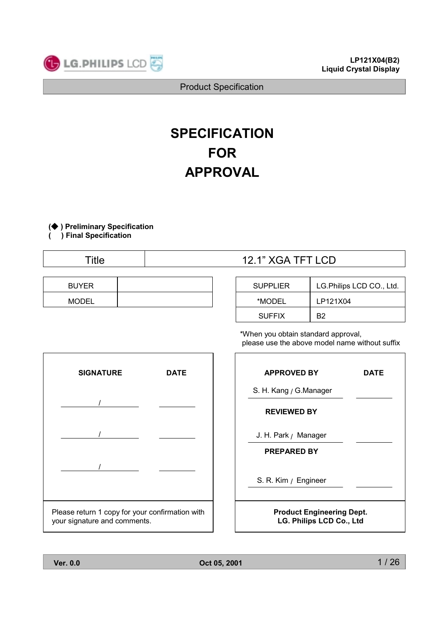

## **SPECIFICATION FOR APPROVAL**

(◆) Preliminary Specification

) Final Specification

1

**Title** 

| <b>BUYER</b> |  |
|--------------|--|
| <b>MODEL</b> |  |

## 12.1" XGA TFT LCD

| <b>SUPPLIER</b> | LG.Philips LCD CO., Ltd. |
|-----------------|--------------------------|
| *MODEL          | LP121X04                 |
| <b>SUFFIX</b>   | R <sub>2</sub>           |

\*When you obtain standard approval, please use the above model name without suffix



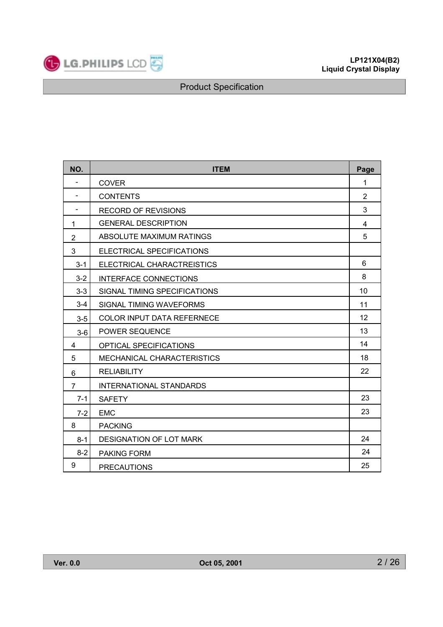

| NO.                      | <b>ITEM</b>                       | Page           |
|--------------------------|-----------------------------------|----------------|
| $\overline{\phantom{a}}$ | <b>COVER</b>                      | 1              |
|                          | <b>CONTENTS</b>                   | $\overline{2}$ |
| $\overline{\phantom{0}}$ | <b>RECORD OF REVISIONS</b>        | 3              |
| 1                        | <b>GENERAL DESCRIPTION</b>        | 4              |
| $\overline{2}$           | ABSOLUTE MAXIMUM RATINGS          | 5              |
| 3                        | ELECTRICAL SPECIFICATIONS         |                |
| $3 - 1$                  | ELECTRICAL CHARACTREISTICS        | 6              |
| $3 - 2$                  | INTERFACE CONNECTIONS             | 8              |
| $3 - 3$                  | SIGNAL TIMING SPECIFICATIONS      | 10             |
| $3-4$                    | SIGNAL TIMING WAVEFORMS           | 11             |
| $3-5$                    | <b>COLOR INPUT DATA REFERNECE</b> | 12             |
| $3-6$                    | POWER SEQUENCE                    | 13             |
| 4                        | OPTICAL SPECIFICATIONS            | 14             |
| 5                        | <b>MECHANICAL CHARACTERISTICS</b> | 18             |
| 6                        | <b>RELIABILITY</b>                | 22             |
| $\overline{7}$           | <b>INTERNATIONAL STANDARDS</b>    |                |
| $7 - 1$                  | <b>SAFETY</b>                     | 23             |
| $7 - 2$                  | <b>EMC</b>                        | 23             |
| 8                        | <b>PACKING</b>                    |                |
| $8 - 1$                  | <b>DESIGNATION OF LOT MARK</b>    | 24             |
| $8 - 2$                  | <b>PAKING FORM</b>                | 24             |
| 9                        | <b>PRECAUTIONS</b>                | 25             |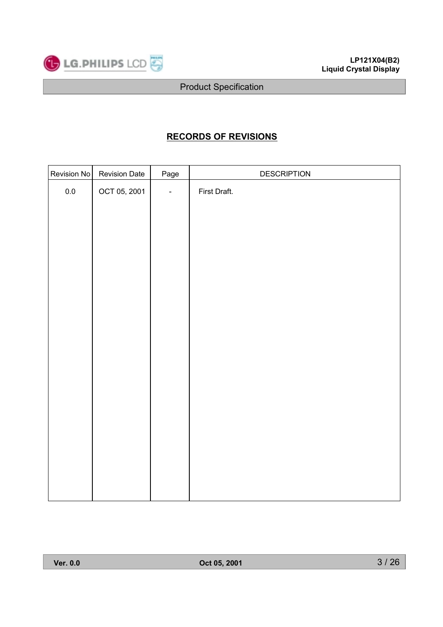

## **RECORDS OF REVISIONS**

| Revision No | <b>Revision Date</b> | Page           | <b>DESCRIPTION</b> |
|-------------|----------------------|----------------|--------------------|
| $0.0\,$     | OCT 05, 2001         | $\blacksquare$ | First Draft.       |
|             |                      |                |                    |
|             |                      |                |                    |
|             |                      |                |                    |
|             |                      |                |                    |
|             |                      |                |                    |
|             |                      |                |                    |
|             |                      |                |                    |
|             |                      |                |                    |
|             |                      |                |                    |
|             |                      |                |                    |
|             |                      |                |                    |
|             |                      |                |                    |
|             |                      |                |                    |
|             |                      |                |                    |
|             |                      |                |                    |
|             |                      |                |                    |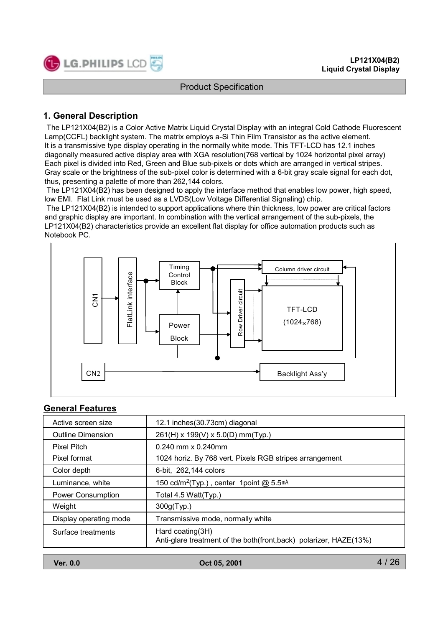

## 1. General Description

The LP121X04(B2) is a Color Active Matrix Liquid Crystal Display with an integral Cold Cathode Fluorescent Lamp(CCFL) backlight system. The matrix employs a-Si Thin Film Transistor as the active element. It is a transmissive type display operating in the normally white mode. This TFT-LCD has 12.1 inches diagonally measured active display area with XGA resolution (768 vertical by 1024 horizontal pixel array) Each pixel is divided into Red, Green and Blue sub-pixels or dots which are arranged in vertical stripes. Gray scale or the brightness of the sub-pixel color is determined with a 6-bit gray scale signal for each dot, thus, presenting a palette of more than 262,144 colors.

The LP121X04(B2) has been designed to apply the interface method that enables low power, high speed, low EMI. Flat Link must be used as a LVDS(Low Voltage Differential Signaling) chip.

The LP121X04(B2) is intended to support applications where thin thickness, low power are critical factors and graphic display are important. In combination with the vertical arrangement of the sub-pixels, the LP121X04(B2) characteristics provide an excellent flat display for office automation products such as Notebook PC.



#### **General Features**

| Active screen size       | 12.1 inches (30.73cm) diagonal                                                           |
|--------------------------|------------------------------------------------------------------------------------------|
| Outline Dimension        | $261(H)$ x 199(V) x 5.0(D) mm(Typ.)                                                      |
| Pixel Pitch              | 0.240 mm x 0.240mm                                                                       |
| Pixel format             | 1024 horiz. By 768 vert. Pixels RGB stripes arrangement                                  |
| Color depth              | 6-bit, 262,144 colors                                                                    |
| Luminance, white         | 150 cd/m <sup>2</sup> (Typ.), center 1 point $@$ 5.5 <sup>mA</sup>                       |
| <b>Power Consumption</b> | Total 4.5 Watt(Typ.)                                                                     |
| Weight                   | 300g(Typ.)                                                                               |
| Display operating mode   | Transmissive mode, normally white                                                        |
| Surface treatments       | Hard coating $(3H)$<br>Anti-glare treatment of the both(front,back) polarizer, HAZE(13%) |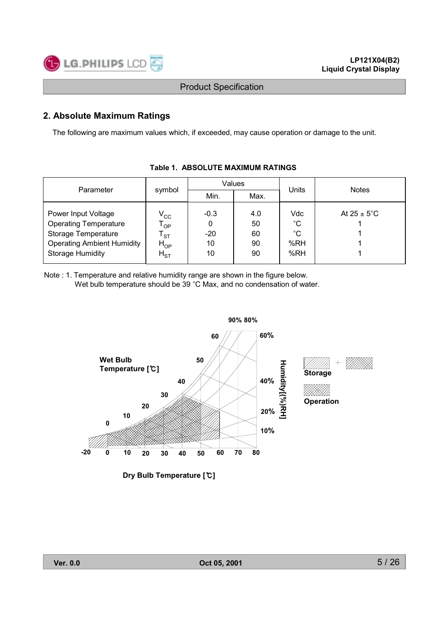

## 2. Absolute Maximum Ratings

The following are maximum values which, if exceeded, may cause operation or damage to the unit.

|                                   |                            |             | Values |             | <b>Notes</b>            |  |  |  |
|-----------------------------------|----------------------------|-------------|--------|-------------|-------------------------|--|--|--|
| Parameter                         | symbol                     | Min.        | Max.   | Units       |                         |  |  |  |
|                                   |                            |             |        |             |                         |  |  |  |
| Power Input Voltage               | $V_{\rm CC}$               | $-0.3$      | 4.0    | Vdc         | At $25 \pm 5^{\circ}$ C |  |  |  |
| <b>Operating Temperature</b>      | $\mathsf{T}_{\mathsf{OP}}$ | $\mathbf 0$ | 50     | $^{\circ}C$ |                         |  |  |  |
| Storage Temperature               | $\mathsf{T}_{\texttt{ST}}$ | $-20$       | 60     | $^{\circ}C$ |                         |  |  |  |
| <b>Operating Ambient Humidity</b> | $H_{OP}$                   | 10          | 90     | %RH         |                         |  |  |  |
| <b>Storage Humidity</b>           | $H_{ST}$                   | 10          | 90     | %RH         |                         |  |  |  |
|                                   |                            |             |        |             |                         |  |  |  |

## Table 1. ABSOLUTE MAXIMUM RATINGS

Note : 1. Temperature and relative humidity range are shown in the figure below. Wet bulb temperature should be 39 °C Max, and no condensation of water.



Dry Bulb Temperature [°C]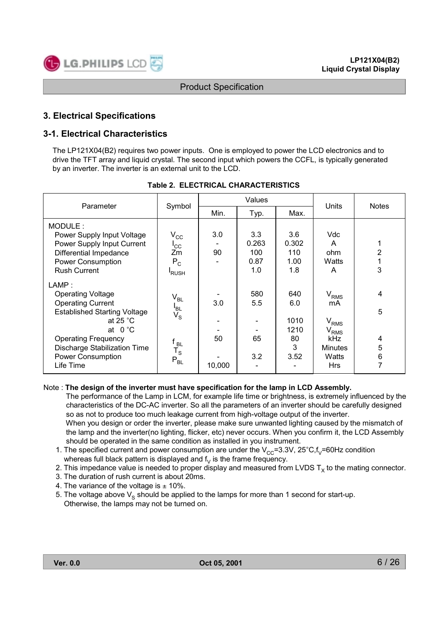

## **3. Electrical Specifications**

## **3-1. Electrical Characteristics**

The LP121X04(B2) requires two power inputs. One is employed to power the LCD electronics and to drive the TFT array and liquid crystal. The second input which powers the CCFL, is typically generated by an inverter. The inverter is an external unit to the LCD.

| Parameter                                                                                                                                                                                                                                             |                                                                                                                     |                     | Values                             | Units                                         | <b>Notes</b>                                                                                            |                            |
|-------------------------------------------------------------------------------------------------------------------------------------------------------------------------------------------------------------------------------------------------------|---------------------------------------------------------------------------------------------------------------------|---------------------|------------------------------------|-----------------------------------------------|---------------------------------------------------------------------------------------------------------|----------------------------|
|                                                                                                                                                                                                                                                       | Symbol                                                                                                              | Min.                | Typ.                               | Max.                                          |                                                                                                         |                            |
| MODULE:<br>Power Supply Input Voltage<br>Power Supply Input Current<br>Differential Impedance<br><b>Power Consumption</b><br><b>Rush Current</b>                                                                                                      | $\rm V_{\rm CC}$<br>$I_{\rm CC}$<br>Zm<br>$P_C$<br><b>RUSH</b>                                                      | 3.0<br>90           | 3.3<br>0.263<br>100<br>0.87<br>1.0 | 3.6<br>0.302<br>110<br>1.00<br>1.8            | Vdc<br>A<br>ohm<br>Watts<br>A                                                                           | 2<br>3                     |
| LAMP:<br><b>Operating Voltage</b><br><b>Operating Current</b><br><b>Established Starting Voltage</b><br>at 25 $^{\circ}$ C<br>at $0^{\circ}$ C<br><b>Operating Frequency</b><br><b>Discharge Stabilization Time</b><br>Power Consumption<br>Life Time | $\rm V_{BL}$<br>$I_{BL}$<br>$V_{\rm S}$<br>f <sub>BL</sub><br>$\mathsf{T}_\mathsf{S}$<br>$\mathsf{P}_{\mathsf{BL}}$ | 3.0<br>50<br>10,000 | 580<br>5.5<br>65<br>3.2            | 640<br>6.0<br>1010<br>1210<br>80<br>3<br>3.52 | V <sub>RMS</sub><br>mA<br>$V_{RMS}$<br>V <sub>RMS</sub><br>kHz<br><b>Minutes</b><br>Watts<br><b>Hrs</b> | 4<br>5<br>4<br>5<br>6<br>7 |

#### Table 2. ELECTRICAL CHARACTERISTICS

#### Note: The design of the inverter must have specification for the lamp in LCD Assembly.

The performance of the Lamp in LCM, for example life time or brightness, is extremely influenced by the characteristics of the DC-AC inverter. So all the parameters of an inverter should be carefully designed so as not to produce too much leakage current from high-voltage output of the inverter. When you design or order the inverter, please make sure unwanted lighting caused by the mismatch of

the lamp and the inverter (no lighting, flicker, etc) never occurs. When you confirm it, the LCD Assembly should be operated in the same condition as installed in you instrument.

- 1. The specified current and power consumption are under the  $V_{cc}$ =3.3V, 25°C, f<sub>V</sub>=60Hz condition whereas full black pattern is displayed and  $f_v$  is the frame frequency.
- 2. This impedance value is needed to proper display and measured from LVDS  $T_x$  to the mating connector.
- 3. The duration of rush current is about 20ms.
- 4. The variance of the voltage is  $\pm$  10%.
- 5. The voltage above  $V_s$  should be applied to the lamps for more than 1 second for start-up. Otherwise, the lamps may not be turned on.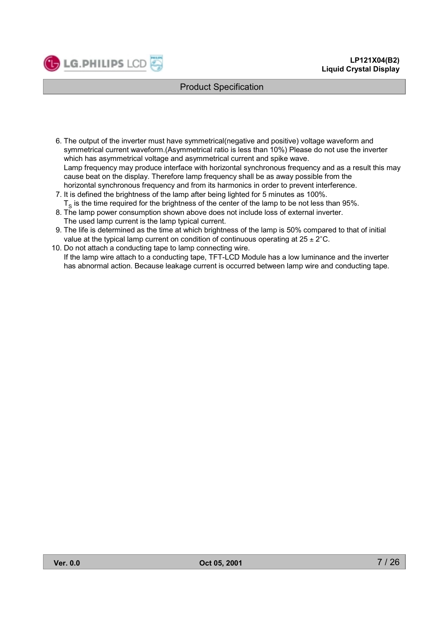

- 6. The output of the inverter must have symmetrical(negative and positive) voltage waveform and symmetrical current waveform.(Asymmetrical ratio is less than 10%) Please do not use the inverter which has asymmetrical voltage and asymmetrical current and spike wave. Lamp frequency may produce interface with horizontal synchronous frequency and as a result this may cause beat on the display. Therefore lamp frequency shall be as away possible from the horizontal synchronous frequency and from its harmonics in order to prevent interference.
- 7. It is defined the brightness of the lamp after being lighted for 5 minutes as 100%.  $T_s$  is the time required for the brightness of the center of the lamp to be not less than 95%.
- 8. The lamp power consumption shown above does not include loss of external inverter. The used lamp current is the lamp typical current.
- 9. The life is determined as the time at which brightness of the lamp is 50% compared to that of initial value at the typical lamp current on condition of continuous operating at  $25 \pm 2^{\circ}$ C.
- 10. Do not attach a conducting tape to lamp connecting wire. If the lamp wire attach to a conducting tape, TFT-LCD Module has a low luminance and the inverter has abnormal action. Because leakage current is occurred between lamp wire and conducting tape.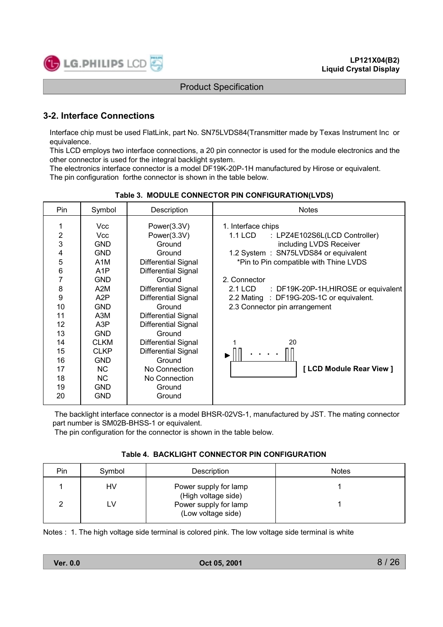

## **3-2. Interface Connections**

Interface chip must be used FlatLink, part No. SN75LVDS84(Transmitter made by Texas Instrument Inc or equivalence.

This LCD employs two interface connections, a 20 pin connector is used for the module electronics and the other connector is used for the integral backlight system.

The electronics interface connector is a model DF19K-20P-1H manufactured by Hirose or equivalent. The pin configuration forthe connector is shown in the table below.

| Pin                                                                                                                     | Symbol                                                                                                                                                                                                                                                         | Description                                                                                                                                                                                                                                                                                                                                               | <b>Notes</b>                                                                                                                                                                                                                                                                                                                                                 |
|-------------------------------------------------------------------------------------------------------------------------|----------------------------------------------------------------------------------------------------------------------------------------------------------------------------------------------------------------------------------------------------------------|-----------------------------------------------------------------------------------------------------------------------------------------------------------------------------------------------------------------------------------------------------------------------------------------------------------------------------------------------------------|--------------------------------------------------------------------------------------------------------------------------------------------------------------------------------------------------------------------------------------------------------------------------------------------------------------------------------------------------------------|
| $\overline{2}$<br>3<br>4<br>5<br>$\,6$<br>7<br>8<br>9<br>10<br>11<br>12<br>13<br>14<br>15<br>16<br>17<br>18<br>19<br>20 | <b>Vcc</b><br>Vcc<br><b>GND</b><br><b>GND</b><br>A <sub>1</sub> M<br>A <sub>1</sub> P<br><b>GND</b><br>A2M<br>A <sub>2</sub> P<br><b>GND</b><br>A3M<br>A3P<br><b>GND</b><br><b>CLKM</b><br><b>CLKP</b><br><b>GND</b><br>NC.<br>NC.<br><b>GND</b><br><b>GND</b> | Power(3.3V)<br>Power(3.3V)<br>Ground<br>Ground<br><b>Differential Signal</b><br><b>Differential Signal</b><br>Ground<br>Differential Signal<br><b>Differential Signal</b><br>Ground<br>Differential Signal<br>Differential Signal<br>Ground<br>Differential Signal<br>Differential Signal<br>Ground<br>No Connection<br>No Connection<br>Ground<br>Ground | 1. Interface chips<br>1.1 LCD<br>: LPZ4E102S6L(LCD Controller)<br>including LVDS Receiver<br>1.2 System : SN75LVDS84 or equivalent<br>*Pin to Pin compatible with Thine LVDS<br>2. Connector<br>2.1 LCD<br>: DF19K-20P-1H, HIROSE or equivalent<br>2.2 Mating : DF19G-20S-1C or equivalent.<br>2.3 Connector pin arrangement<br>20<br>[LCD Module Rear View] |

Table 3. MODULE CONNECTOR PIN CONFIGURATION(LVDS)

The backlight interface connector is a model BHSR-02VS-1, manufactured by JST. The mating connector part number is SM02B-BHSS-1 or equivalent.

The pin configuration for the connector is shown in the table below.

#### Table 4. BACKLIGHT CONNECTOR PIN CONFIGURATION

| Pin | Symbol | Description                                  | <b>Notes</b> |
|-----|--------|----------------------------------------------|--------------|
|     | HV     | Power supply for lamp<br>(High voltage side) |              |
|     | LV     | Power supply for lamp<br>(Low voltage side)  |              |

Notes : 1. The high voltage side terminal is colored pink. The low voltage side terminal is white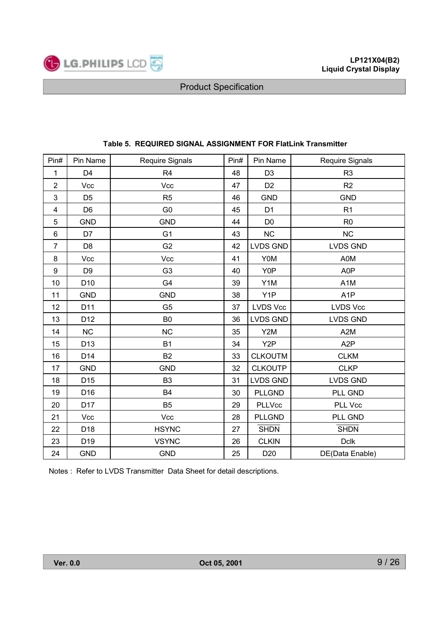

| Pin#             | Pin Name        | Require Signals | Pin# | Pin Name         | <b>Require Signals</b> |
|------------------|-----------------|-----------------|------|------------------|------------------------|
| 1                | D <sub>4</sub>  | R <sub>4</sub>  | 48   | D <sub>3</sub>   | R <sub>3</sub>         |
| $\overline{2}$   | Vcc             | Vcc             | 47   | D <sub>2</sub>   | R <sub>2</sub>         |
| $\mathbf{3}$     | D <sub>5</sub>  | R <sub>5</sub>  | 46   | <b>GND</b>       | <b>GND</b>             |
| 4                | D <sub>6</sub>  | G <sub>0</sub>  | 45   | D <sub>1</sub>   | R1                     |
| 5                | <b>GND</b>      | <b>GND</b>      | 44   | D <sub>0</sub>   | R <sub>0</sub>         |
| 6                | D7              | G <sub>1</sub>  | 43   | NC               | NC                     |
| $\overline{7}$   | D <sub>8</sub>  | G <sub>2</sub>  | 42   | <b>LVDS GND</b>  | <b>LVDS GND</b>        |
| 8                | Vcc             | Vcc             | 41   | Y0M              | A0M                    |
| $\boldsymbol{9}$ | D <sub>9</sub>  | G <sub>3</sub>  | 40   | Y0P              | A0P                    |
| 10               | D <sub>10</sub> | G4              | 39   | Y1M              | A <sub>1</sub> M       |
| 11               | <b>GND</b>      | <b>GND</b>      | 38   | Y1P              | A <sub>1</sub> P       |
| 12               | D11             | G <sub>5</sub>  | 37   | <b>LVDS Vcc</b>  | <b>LVDS Vcc</b>        |
| 13               | D <sub>12</sub> | B <sub>0</sub>  | 36   | <b>LVDS GND</b>  | <b>LVDS GND</b>        |
| 14               | <b>NC</b>       | <b>NC</b>       | 35   | Y2M              | A <sub>2</sub> M       |
| 15               | D <sub>13</sub> | <b>B1</b>       | 34   | Y <sub>2</sub> P | A <sub>2</sub> P       |
| 16               | D14             | <b>B2</b>       | 33   | <b>CLKOUTM</b>   | <b>CLKM</b>            |
| 17               | <b>GND</b>      | <b>GND</b>      | 32   | <b>CLKOUTP</b>   | <b>CLKP</b>            |
| 18               | D <sub>15</sub> | B <sub>3</sub>  | 31   | <b>LVDS GND</b>  | <b>LVDS GND</b>        |
| 19               | D <sub>16</sub> | B4              | 30   | <b>PLLGND</b>    | PLL GND                |
| 20               | D17             | B <sub>5</sub>  | 29   | <b>PLLVcc</b>    | PLL Vcc                |
| 21               | Vcc             | Vcc             | 28   | <b>PLLGND</b>    | PLL GND                |
| 22               | D <sub>18</sub> | <b>HSYNC</b>    | 27   | <b>SHDN</b>      | <b>SHDN</b>            |
| 23               | D <sub>19</sub> | <b>VSYNC</b>    | 26   | <b>CLKIN</b>     | <b>Dclk</b>            |
| 24               | <b>GND</b>      | <b>GND</b>      | 25   | D <sub>20</sub>  | DE(Data Enable)        |

### Table 5. REQUIRED SIGNAL ASSIGNMENT FOR FlatLink Transmitter

Notes: Refer to LVDS Transmitter Data Sheet for detail descriptions.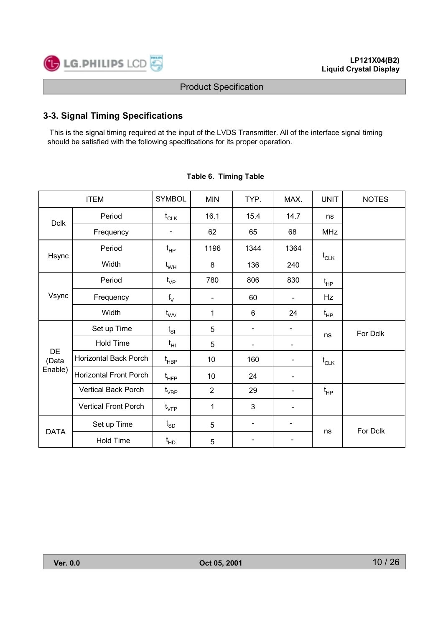

## 3-3. Signal Timing Specifications

This is the signal timing required at the input of the LVDS Transmitter. All of the interface signal timing should be satisfied with the following specifications for its proper operation.

| <b>ITEM</b>        |                               | <b>SYMBOL</b>                                   | <b>MIN</b>                   | TYP.                     | MAX.                         | <b>UNIT</b> | <b>NOTES</b> |
|--------------------|-------------------------------|-------------------------------------------------|------------------------------|--------------------------|------------------------------|-------------|--------------|
| <b>Dclk</b>        | Period                        | $\mathfrak{t}_{\scriptscriptstyle{\text{CLK}}}$ | 16.1                         | 15.4                     | 14.7                         | ns          |              |
|                    | Frequency                     |                                                 | 62                           | 65                       | 68                           | <b>MHz</b>  |              |
| Hsync              | Period                        | $t_{HP}$                                        | 1196                         | 1344                     | 1364                         |             |              |
|                    | Width                         | $t_{WH}$                                        | 8                            | 136                      | 240                          | $t_{CLK}$   |              |
|                    | Period                        | $t_{\rm VP}$                                    | 780                          | 806                      | 830                          | $t_{HP}$    |              |
| Vsync              | Frequency                     | $f_V$                                           | $\qquad \qquad \blacksquare$ | 60                       | $\qquad \qquad \blacksquare$ | Hz          |              |
|                    | Width                         | $t_{\text{WV}}$                                 | 1                            | 6                        | 24                           | $t_{HP}$    |              |
|                    | Set up Time                   | $t_{SI}$                                        | 5                            |                          |                              | ns          | For Dclk     |
|                    | <b>Hold Time</b>              | $t_{HI}$                                        | 5                            |                          |                              |             |              |
| <b>DE</b><br>(Data | Horizontal Back Porch         | $\mathfrak{t}_{\mathsf{H}\mathsf{B}\mathsf{P}}$ | 10                           | 160                      | -                            | $t_{CLK}$   |              |
| Enable)            | <b>Horizontal Front Porch</b> | $\mathfrak{t}_{\mathsf{H}\mathsf{FP}}$          | 10                           | 24                       | -                            |             |              |
|                    | <b>Vertical Back Porch</b>    | $\mathfrak{t}_{\mathsf{VBP}}$                   | $\overline{2}$               | 29                       |                              | $t_{HP}$    |              |
|                    | <b>Vertical Front Porch</b>   | $\mathfrak{t}_{\mathsf{VFP}}$                   | 1                            | 3                        |                              |             |              |
|                    | Set up Time                   | $\mathfrak{t}_{\texttt{SD}}$                    | 5                            | $\overline{\phantom{0}}$ | $\overline{\phantom{a}}$     | ns          | For Dclk     |
| <b>DATA</b>        | <b>Hold Time</b>              | t <sub>HD</sub>                                 | 5                            |                          |                              |             |              |

#### Table 6. Timing Table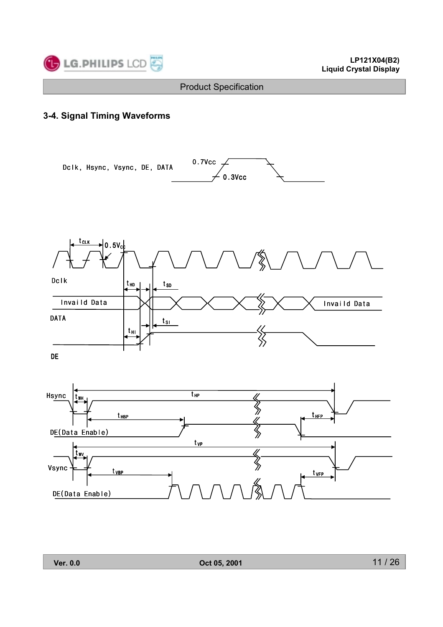

## 3-4. Signal Timing Waveforms

Dclk, Hsync, Vsync, DE, DATA



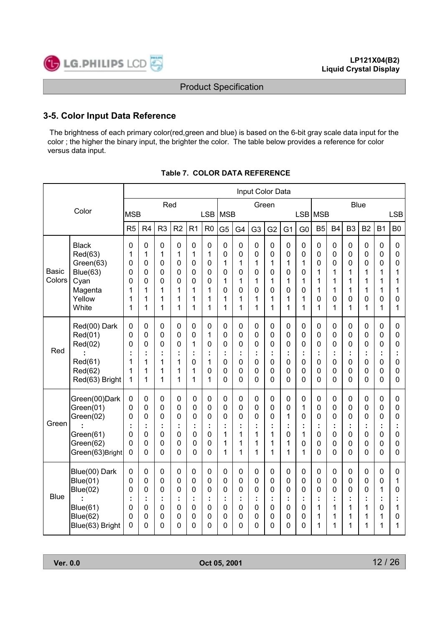

## 3-5. Color Input Data Reference

The brightness of each primary color(red, green and blue) is based on the 6-bit gray scale data input for the color ; the higher the binary input, the brighter the color. The table below provides a reference for color versus data input.

|                        |                                                                                      |                                 |                                                                                   |                                           |                                                                          |                                                                                                   |                                                                               |                                                                     |                                                                                    | Input Color Data                                               |                                                           |                                                                               |                                                                     |                                                                          |                                                          |                                                                                         |                                                        |                                                                          |                                                                       |
|------------------------|--------------------------------------------------------------------------------------|---------------------------------|-----------------------------------------------------------------------------------|-------------------------------------------|--------------------------------------------------------------------------|---------------------------------------------------------------------------------------------------|-------------------------------------------------------------------------------|---------------------------------------------------------------------|------------------------------------------------------------------------------------|----------------------------------------------------------------|-----------------------------------------------------------|-------------------------------------------------------------------------------|---------------------------------------------------------------------|--------------------------------------------------------------------------|----------------------------------------------------------|-----------------------------------------------------------------------------------------|--------------------------------------------------------|--------------------------------------------------------------------------|-----------------------------------------------------------------------|
| Color                  |                                                                                      |                                 |                                                                                   | Red                                       |                                                                          |                                                                                                   |                                                                               |                                                                     |                                                                                    |                                                                | Green                                                     |                                                                               |                                                                     |                                                                          |                                                          |                                                                                         | <b>Blue</b>                                            |                                                                          |                                                                       |
|                        |                                                                                      | <b>MSB</b><br>R <sub>5</sub>    | R <sub>4</sub>                                                                    | R <sub>3</sub>                            | R <sub>2</sub>                                                           | R <sub>1</sub>                                                                                    | <b>LSB</b><br>R <sub>0</sub>                                                  | <b>MSB</b>                                                          |                                                                                    |                                                                |                                                           |                                                                               |                                                                     | LSB MSB<br>B <sub>5</sub>                                                | <b>B4</b>                                                | B <sub>3</sub>                                                                          | B <sub>2</sub>                                         | <b>B1</b>                                                                | <b>LSB</b><br>B <sub>0</sub>                                          |
|                        |                                                                                      |                                 |                                                                                   |                                           |                                                                          |                                                                                                   |                                                                               | G <sub>5</sub>                                                      | G4                                                                                 | G <sub>3</sub>                                                 | G <sub>2</sub>                                            | G <sub>1</sub>                                                                | G <sub>0</sub>                                                      |                                                                          |                                                          |                                                                                         |                                                        |                                                                          |                                                                       |
|                        | <b>Black</b><br>Red(63)<br>Green(63)                                                 | 0<br>1<br>0                     | $\mathbf 0$<br>1<br>$\mathbf 0$                                                   | $\mathbf 0$<br>1<br>0                     | $\mathbf 0$<br>1<br>0                                                    | 0<br>1<br>0                                                                                       | $\mathbf 0$<br>1<br>$\mathbf 0$                                               | $\mathbf 0$<br>0<br>1                                               | $\overline{0}$<br>$\mathbf 0$<br>1                                                 | $\mathbf 0$<br>$\mathbf 0$<br>1                                | $\mathbf 0$<br>$\mathbf 0$<br>1                           | $\mathbf 0$<br>$\mathbf 0$<br>1                                               | $\mathbf 0$<br>$\pmb{0}$<br>1                                       | $\mathbf 0$<br>$\mathbf 0$<br>0                                          | $\mathbf 0$<br>0<br>0                                    | $\mathbf 0$<br>$\mathbf 0$<br>0                                                         | $\mathbf 0$<br>$\mathbf 0$<br>0                        | $\mathbf 0$<br>$\mathbf 0$<br>0                                          | $\mathbf 0$<br>$\mathbf 0$<br>0                                       |
| <b>Basic</b><br>Colors | Blue(63)<br>Cyan<br>Magenta                                                          | 0<br>0<br>1                     | 0<br>0<br>1                                                                       | 0<br>0<br>1                               | $\mathbf 0$<br>0<br>1                                                    | 0<br>0<br>1                                                                                       | $\mathbf 0$<br>0<br>1                                                         | 0<br>1<br>$\Omega$                                                  | 0<br>1<br>0                                                                        | $\mathbf 0$<br>1<br>$\mathbf 0$                                | 0<br>1<br>0                                               | $\mathbf 0$<br>1<br>0                                                         | 0<br>1<br>0                                                         | 1<br>1<br>1                                                              | 1<br>1<br>1                                              | 1<br>1<br>1                                                                             | 1<br>1<br>1                                            | 1<br>1<br>1                                                              | 1<br>1<br>1                                                           |
|                        | Yellow<br>White                                                                      | 1<br>1                          | 1<br>1                                                                            | 1<br>1                                    | 1<br>1                                                                   | 1<br>1                                                                                            | 1<br>1                                                                        | 1<br>1                                                              | 1<br>1                                                                             | 1<br>1                                                         | 1<br>1                                                    | 1<br>1                                                                        | 1<br>1                                                              | 0<br>1                                                                   | 0<br>1                                                   | $\mathbf 0$<br>1                                                                        | 0<br>1                                                 | 0<br>1                                                                   | $\mathbf 0$<br>1                                                      |
| Red                    | Red(00) Dark<br>Red(01)<br>Red(02)<br>Red(61)<br>Red(62)<br>Red(63) Bright           | 0<br>0<br>0<br>÷<br>1<br>1<br>1 | 0<br>$\mathbf 0$<br>0<br>1<br>1<br>1                                              | 0<br>0<br>0<br>t<br>1<br>1<br>1           | $\mathbf 0$<br>$\mathbf 0$<br>0<br>t<br>1<br>1<br>1                      | 0<br>0<br>1<br>t<br>0<br>1<br>1                                                                   | $\mathbf 0$<br>1<br>0<br>t<br>1<br>0<br>1                                     | $\mathbf 0$<br>$\overline{0}$<br>0<br>÷<br>0<br>0<br>$\overline{0}$ | $\mathbf 0$<br>$\mathbf 0$<br>0<br>$\overline{0}$<br>$\mathbf 0$<br>$\overline{0}$ | $\pmb{0}$<br>0<br>0<br>t<br>$\mathbf 0$<br>0<br>$\overline{0}$ | 0<br>0<br>0<br>÷<br>$\overline{0}$<br>0<br>$\overline{0}$ | $\mathbf 0$<br>$\mathbf 0$<br>0<br>t<br>$\overline{0}$<br>0<br>$\overline{0}$ | 0<br>$\overline{0}$<br>0<br>÷<br>$\mathbf 0$<br>0<br>$\overline{0}$ | $\mathbf 0$<br>$\mathbf 0$<br>0<br>$\overline{0}$<br>0<br>$\overline{0}$ | 0<br>0<br>0<br>t<br>0<br>0<br>0                          | $\mathbf 0$<br>$\mathbf 0$<br>0<br>÷<br>$\overline{0}$<br>$\mathbf 0$<br>$\overline{0}$ | $\mathbf 0$<br>0<br>0<br>t<br>$\overline{0}$<br>0<br>0 | $\boldsymbol{0}$<br>0<br>0<br>t<br>$\overline{0}$<br>0<br>$\overline{0}$ | $\boldsymbol{0}$<br>0<br>0<br>÷<br>$\mathbf 0$<br>0<br>$\overline{0}$ |
| Green                  | Green(00)Dark<br>Green(01)<br>Green(02)<br>Green(61)<br>Green(62)<br>Green(63)Bright | 0<br>0<br>0<br>t<br>0<br>0<br>0 | $\mathbf 0$<br>$\mathbf 0$<br>0<br>÷<br>$\mathbf 0$<br>$\mathbf 0$<br>$\mathbf 0$ | $\mathbf 0$<br>0<br>0<br>÷<br>0<br>0<br>0 | $\pmb{0}$<br>$\mathbf 0$<br>0<br>÷<br>$\mathbf 0$<br>0<br>$\overline{0}$ | $\mathbf 0$<br>$\mathbf 0$<br>$\overline{0}$<br>÷<br>$\overline{0}$<br>$\mathbf 0$<br>$\mathbf 0$ | $\mathbf 0$<br>0<br>0<br>÷<br>$\overline{0}$<br>$\mathbf 0$<br>$\overline{0}$ | $\mathbf 0$<br>0<br>0<br>1<br>1<br>1                                | 0<br>$\mathbf 0$<br>0<br>1<br>1<br>1                                               | $\pmb{0}$<br>0<br>0<br>t<br>1<br>1<br>1                        | 0<br>0<br>0<br>÷<br>1<br>1<br>1                           | $\mathbf 0$<br>$\mathbf 0$<br>1<br>t<br>0<br>1<br>1                           | $\boldsymbol{0}$<br>1<br>0<br>÷<br>1<br>0<br>1                      | $\mathbf 0$<br>$\mathbf 0$<br>0<br>$\mathbf 0$<br>0<br>0                 | $\boldsymbol{0}$<br>0<br>0<br>÷<br>$\mathbf 0$<br>0<br>0 | $\boldsymbol{0}$<br>$\mathbf 0$<br>0<br>÷<br>$\mathbf 0$<br>0<br>$\Omega$               | $\boldsymbol{0}$<br>0<br>0<br>t<br>0<br>0<br>0         | $\boldsymbol{0}$<br>0<br>0<br>t<br>0<br>0<br>$\overline{0}$              | $\boldsymbol{0}$<br>0<br>0<br>÷<br>$\mathbf 0$<br>0<br>$\overline{0}$ |
| <b>Blue</b>            | Blue(00) Dark<br>Blue(01)<br>Blue(02)<br>Blue(61)<br>Blue(62)<br>Blue(63) Bright     | 0<br>0<br>0<br>÷<br>0<br>0<br>0 | 0<br>$\mathbf 0$<br>$\mathbf 0$<br>$\overline{0}$<br>$\mathbf 0$<br>$\Omega$      | 0<br>0<br>0<br>t<br>0<br>0<br>0           | 0<br>0<br>0<br>t<br>$\mathbf 0$<br>0<br>$\overline{0}$                   | 0<br>0<br>0<br>t<br>0<br>0<br>0                                                                   | $\mathbf 0$<br>0<br>0<br>t<br>$\mathbf 0$<br>$\mathbf 0$<br>0                 | 0<br>0<br>0<br>0<br>0<br>$\Omega$                                   | $\mathbf 0$<br>0<br>0<br>$\overline{0}$<br>$\mathbf 0$<br>0                        | $\pmb{0}$<br>0<br>0<br>t<br>$\mathbf 0$<br>$\mathbf 0$<br>0    | 0<br>0<br>0<br>÷<br>$\mathbf{0}$<br>0<br>0                | 0<br>$\mathbf 0$<br>0<br>t<br>$\overline{0}$<br>0<br>$\Omega$                 | 0<br>0<br>0<br>t<br>0<br>0<br>0                                     | 0<br>0<br>0<br>1<br>1<br>1                                               | 0<br>0<br>0<br>t<br>1<br>1<br>1                          | 0<br>$\mathbf 0$<br>0<br>1<br>1<br>1                                                    | 0<br>0<br>0<br>t<br>1<br>1<br>1                        | 0<br>0<br>1<br>t<br>0<br>1<br>1                                          | $\boldsymbol{0}$<br>1<br>$\Omega$<br>t<br>1<br>0<br>1                 |

#### Table 7. COLOR DATA REFERENCE

**Ver. 0.0**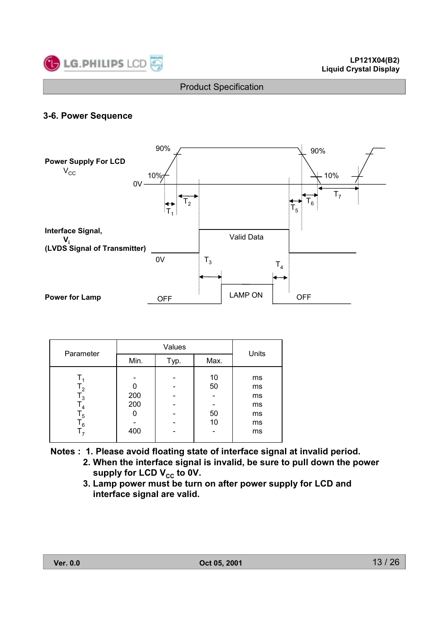

## 3-6. Power Sequence



|                                                                                        |                   | Units |                      |                                        |  |
|----------------------------------------------------------------------------------------|-------------------|-------|----------------------|----------------------------------------|--|
| Parameter                                                                              | Min.              | Typ.  | Max.                 |                                        |  |
| Т.<br>۱,<br>$\mathsf{L}_3$<br>$\mathsf{T}_4$<br>$\mathsf{I}_5$<br>$\mathsf{T}_6$<br>т, | 200<br>200<br>400 |       | 10<br>50<br>50<br>10 | ms<br>ms<br>ms<br>ms<br>ms<br>ms<br>ms |  |

- Notes: 1. Please avoid floating state of interface signal at invalid period.
	- 2. When the interface signal is invalid, be sure to pull down the power supply for LCD  $V_{cc}$  to 0V.
	- 3. Lamp power must be turn on after power supply for LCD and interface signal are valid.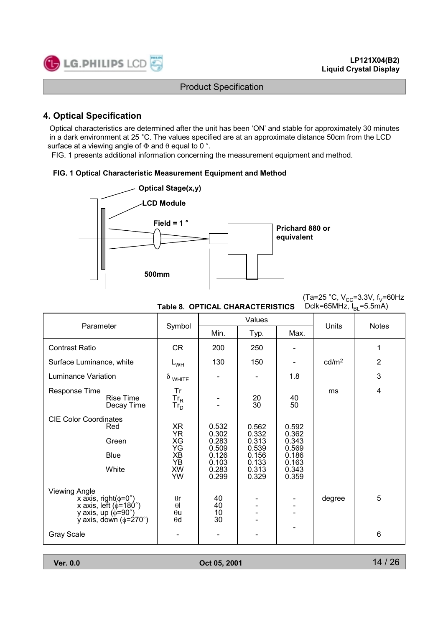

## **4. Optical Specification**

Optical characteristics are determined after the unit has been 'ON' and stable for approximately 30 minutes in a dark environment at 25 °C. The values specified are at an approximate distance 50cm from the LCD surface at a viewing angle of  $\Phi$  and  $\theta$  equal to 0 °.

FIG. 1 presents additional information concerning the measurement equipment and method.

#### FIG. 1 Optical Characteristic Measurement Equipment and Method



(Ta=25 °C,  $V_{CC}$ =3.3V, f<sub>V</sub>=60Hz  $Dclk = 65MHz, I<sub>pl</sub> = 5.5mA$ 

| Dclk=65MHz, $I_{\text{RI}}$ =5.5mA)<br>Table 8. OPTICAL CHARACTERISTICS                                                                         |                                                                          |                                           |                                           |                                           |                   |                |  |  |  |  |
|-------------------------------------------------------------------------------------------------------------------------------------------------|--------------------------------------------------------------------------|-------------------------------------------|-------------------------------------------|-------------------------------------------|-------------------|----------------|--|--|--|--|
| Parameter                                                                                                                                       | Symbol                                                                   |                                           | Values                                    | <b>Units</b>                              | <b>Notes</b>      |                |  |  |  |  |
|                                                                                                                                                 |                                                                          | Min.                                      | Typ.                                      | Max.                                      |                   |                |  |  |  |  |
| <b>Contrast Ratio</b>                                                                                                                           | <b>CR</b>                                                                | 200                                       | 250                                       |                                           |                   | 1              |  |  |  |  |
| Surface Luminance, white                                                                                                                        | $L_{WH}$                                                                 | 130                                       | 150                                       |                                           | cd/m <sup>2</sup> | $\overline{2}$ |  |  |  |  |
| <b>Luminance Variation</b>                                                                                                                      | $\delta$ white                                                           |                                           |                                           | 1.8                                       |                   | 3              |  |  |  |  |
| Response Time<br><b>Rise Time</b><br>Decay Time                                                                                                 | Tr<br>$\mathbf{I}$ r <sub>R</sub><br>$\mathsf{Tr}_{\mathsf{D}}^{\cdots}$ |                                           | $\substack{20\\30}$<br>40<br>50           |                                           | ms                | $\overline{4}$ |  |  |  |  |
| <b>CIE Color Coordinates</b><br>Red<br>Green<br><b>Blue</b>                                                                                     | XR<br><b>YR</b><br>XG<br>YG<br><b>XB</b>                                 | 0.532<br>0.302<br>0.283<br>0.509<br>0.126 | 0.562<br>0.332<br>0.313<br>0.539<br>0.156 | 0.592<br>0.362<br>0.343<br>0.569<br>0.186 |                   |                |  |  |  |  |
| White                                                                                                                                           | YB<br><b>XW</b><br>YW                                                    | 0.103<br>0.283<br>0.299                   | 0.133<br>0.313<br>0.329                   | 0.163<br>0.343<br>0.359                   |                   |                |  |  |  |  |
| <b>Viewing Angle</b><br>x axis, right( $\phi$ =0°)<br>x axis, left ( $\phi$ =180°)<br>y axis, up (φ <sup>'=90°</sup> )<br>y axis, down (φ=270°) | $\theta$ r<br>$\theta$<br>$\theta$ u<br>$\theta$ d                       | 40<br>40<br>10<br>30                      |                                           |                                           | degree            | 5              |  |  |  |  |
| <b>Gray Scale</b>                                                                                                                               |                                                                          |                                           |                                           |                                           |                   | $6\phantom{1}$ |  |  |  |  |

**Ver. 0.0**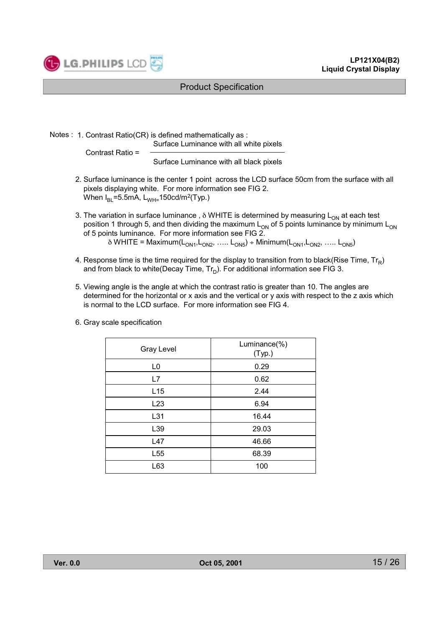

Notes: 1. Contrast Ratio(CR) is defined mathematically as:

Surface Luminance with all white pixels

Contrast Ratio =

Surface Luminance with all black pixels

- 2. Surface luminance is the center 1 point across the LCD surface 50cm from the surface with all pixels displaying white. For more information see FIG 2. When  $I_{BI} = 5.5mA$ ,  $L_{WH} = 150cd/m^2(Typ)$ .
- 3. The variation in surface luminance,  $\delta$  WHITE is determined by measuring  $L_{ON}$  at each test position 1 through 5, and then dividing the maximum  $L_{ON}$  of 5 points luminance by minimum  $L_{ON}$  of 5 points luminance information see FIG 2.  $\delta$  WHITE = Maximum( $L_{ON1}, L_{ON2},$  .....  $L_{ON5}$ ) ÷ Minimum( $L_{ON1}, L_{ON2},$  .....  $L_{ON5}$ )
- 4. Response time is the time required for the display to transition from to black(Rise Time,  $Tr_R$ ) and from black to white(Decay Time, Tr<sub>n</sub>). For additional information see FIG 3.
- 5. Viewing angle is the angle at which the contrast ratio is greater than 10. The angles are determined for the horizontal or x axis and the vertical or y axis with respect to the z axis which is normal to the LCD surface. For more information see FIG 4.

| <b>Gray Level</b> | Luminance(%)<br>(Typ.) |
|-------------------|------------------------|
| L <sub>0</sub>    | 0.29                   |
| L7                | 0.62                   |
| L15               | 2.44                   |
| L23               | 6.94                   |
| L31               | 16.44                  |
| L39               | 29.03                  |
| L47               | 46.66                  |
| L <sub>55</sub>   | 68.39                  |
| L63               | 100                    |

6. Grav scale specification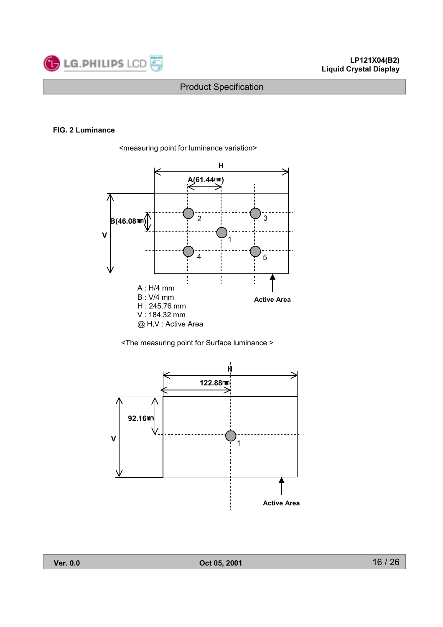

#### FIG. 2 Luminance





<The measuring point for Surface luminance >

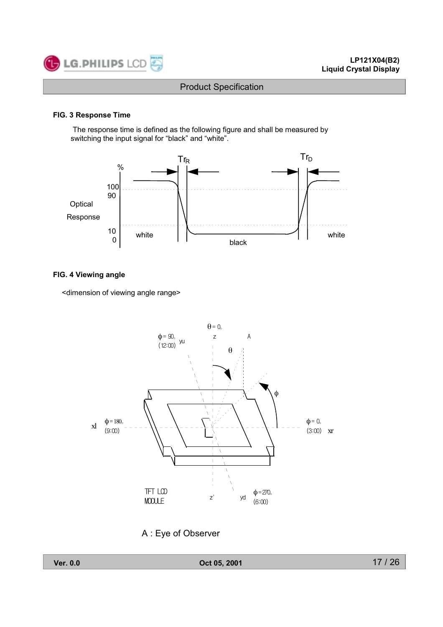

#### FIG. 3 Response Time

The response time is defined as the following figure and shall be measured by switching the input signal for "black" and "white".



#### FIG. 4 Viewing angle

<dimension of viewing angle range>



A: Eye of Observer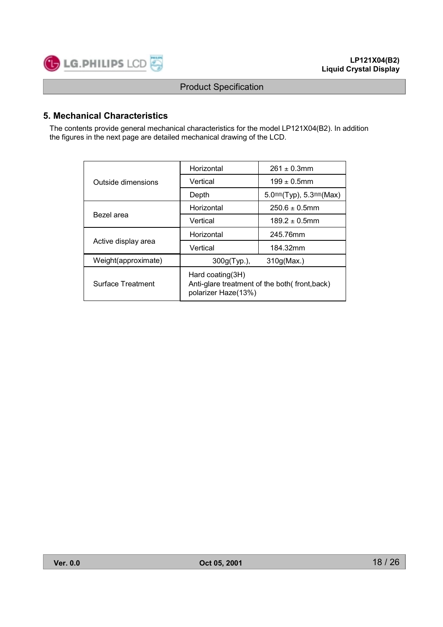

## 5. Mechanical Characteristics

The contents provide general mechanical characteristics for the model LP121X04(B2). In addition the figures in the next page are detailed mechanical drawing of the LCD.

|                     | Horizontal                                                                              | $261 \pm 0.3$ mm            |  |  |  |
|---------------------|-----------------------------------------------------------------------------------------|-----------------------------|--|--|--|
| Outside dimensions  | Vertical                                                                                | $199 \pm 0.5$ mm            |  |  |  |
|                     | Depth                                                                                   | $5.0mm(Typ)$ , $5.3mm(Max)$ |  |  |  |
|                     | Horizontal                                                                              | $250.6 + 0.5$ mm            |  |  |  |
| Bezel area          | Vertical                                                                                | $189.2 \pm 0.5$ mm          |  |  |  |
|                     | Horizontal                                                                              | 245.76mm                    |  |  |  |
| Active display area | Vertical                                                                                | 184.32mm                    |  |  |  |
| Weight(approximate) | $300g(Typ.)$ ,                                                                          | 310g(Max.)                  |  |  |  |
| Surface Treatment   | Hard coating(3H)<br>Anti-glare treatment of the both(front,back)<br>polarizer Haze(13%) |                             |  |  |  |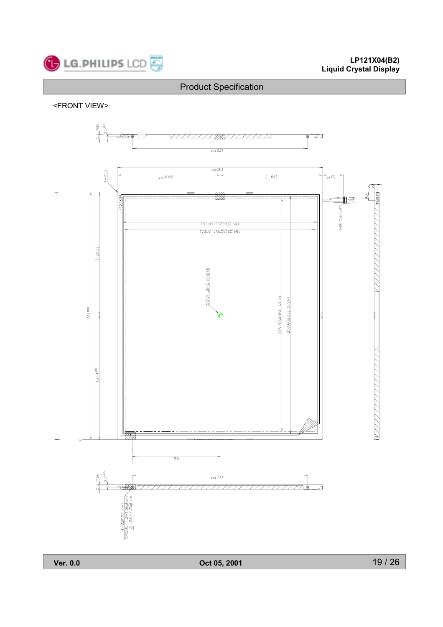

# LP121X04(B2)<br>Liquid Crystal Display

## **Product Specification**

<FRONT VIEW>

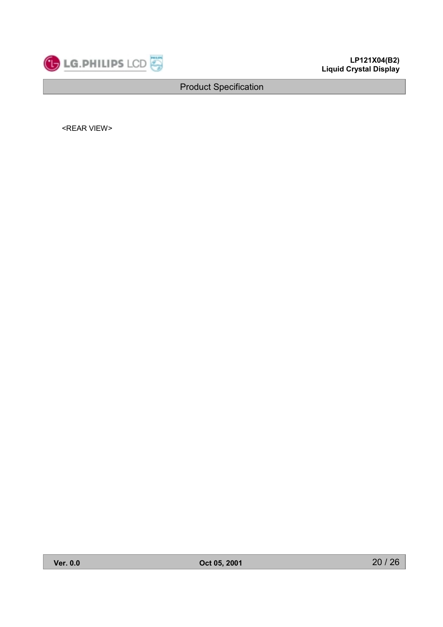

<REAR VIEW>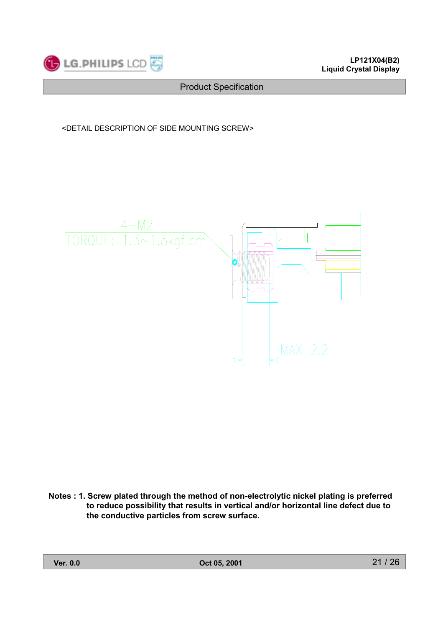

<DETAIL DESCRIPTION OF SIDE MOUNTING SCREW>



Notes: 1. Screw plated through the method of non-electrolytic nickel plating is preferred to reduce possibility that results in vertical and/or horizontal line defect due to the conductive particles from screw surface.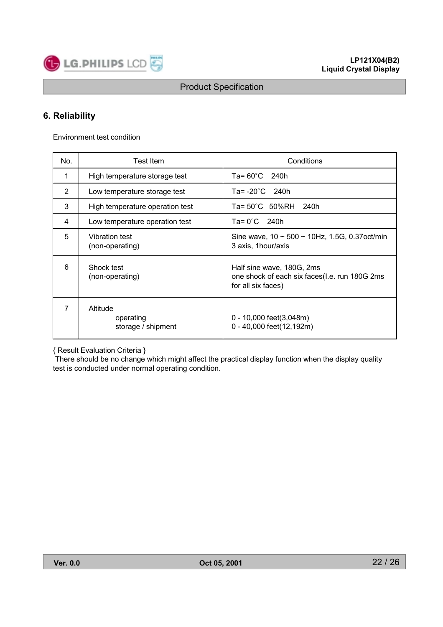

## 6. Reliability

Environment test condition

| No. | <b>Test Item</b>                            | Conditions                                                                                       |
|-----|---------------------------------------------|--------------------------------------------------------------------------------------------------|
| 1   | High temperature storage test               | Ta= $60^{\circ}$ C 240h                                                                          |
| 2   | Low temperature storage test                | Ta= $-20^{\circ}$ C 240h                                                                         |
| 3   | High temperature operation test             | Ta= 50°C 50%RH 240h                                                                              |
| 4   | Low temperature operation test              | $Ta = 0^{\circ}C$ 240h                                                                           |
| 5   | Vibration test<br>(non-operating)           | Sine wave, $10 \sim 500 \sim 10$ Hz, 1.5G, 0.37 oct/min<br>3 axis, 1 hour/axis                   |
| 6   | Shock test<br>(non-operating)               | Half sine wave, 180G, 2ms<br>one shock of each six faces(I.e. run 180G 2ms<br>for all six faces) |
|     | Altitude<br>operating<br>storage / shipment | $0 - 10,000$ feet(3,048m)<br>0 - 40,000 feet(12,192m)                                            |

{ Result Evaluation Criteria }

There should be no change which might affect the practical display function when the display quality test is conducted under normal operating condition.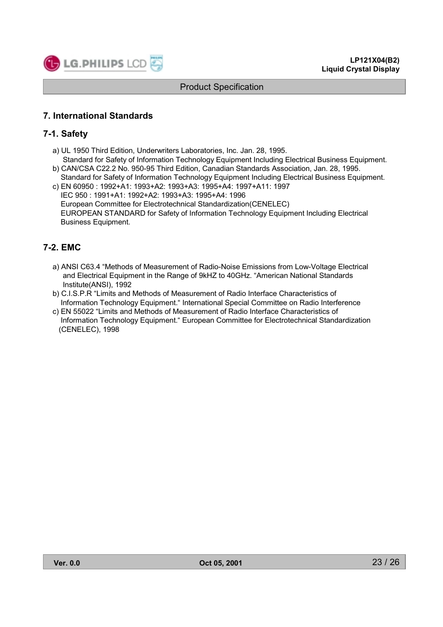

## **7. International Standards**

## 7-1. Safety

- a) UL 1950 Third Edition, Underwriters Laboratories, Inc. Jan. 28, 1995.
- Standard for Safety of Information Technology Equipment Including Electrical Business Equipment. b) CAN/CSA C22.2 No. 950-95 Third Edition. Canadian Standards Association. Jan. 28, 1995.
- Standard for Safety of Information Technology Equipment Including Electrical Business Equipment. c) EN 60950 : 1992+A1: 1993+A2: 1993+A3: 1995+A4: 1997+A11: 1997
- IEC 950: 1991+A1: 1992+A2: 1993+A3: 1995+A4: 1996 European Committee for Electrotechnical Standardization(CENELEC) EUROPEAN STANDARD for Safety of Information Technology Equipment Including Electrical **Business Equipment.**

## 7-2. EMC

- a) ANSI C63.4 "Methods of Measurement of Radio-Noise Emissions from Low-Voltage Electrical and Electrical Equipment in the Range of 9kHZ to 40GHz. "American National Standards Institute(ANSI), 1992
- b) C.I.S.P.R "Limits and Methods of Measurement of Radio Interface Characteristics of Information Technology Equipment." International Special Committee on Radio Interference
- c) EN 55022 "Limits and Methods of Measurement of Radio Interface Characteristics of Information Technology Equipment." European Committee for Electrotechnical Standardization (CENELEC), 1998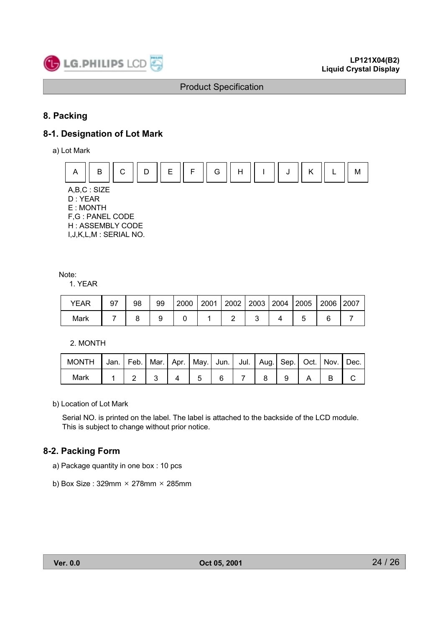

## 8. Packing

## 8-1. Designation of Lot Mark

a) Lot Mark



 $A,B,C:SIZE$ D: YEAR E: MONTH F,G: PANEL CODE H: ASSEMBLY CODE I, J, K, L, M: SERIAL NO.

Note:

1. YEAR

| YEAR | 97 | 98 | 99 | 2000 | 2001 | 2002   2003   2004   2005 |  | 2006 | 2007 |
|------|----|----|----|------|------|---------------------------|--|------|------|
| Mark |    |    |    |      |      |                           |  |      |      |

2. MONTH

| <b>MONTH</b> |  |  |  |  |  | Jan.   Feb.   Mar.   Apr.   May.   Jun.   Jul.   Aug.   Sep.   Oct.   Nov.   Dec. |
|--------------|--|--|--|--|--|-----------------------------------------------------------------------------------|
| Mark         |  |  |  |  |  |                                                                                   |

b) Location of Lot Mark

Serial NO. is printed on the label. The label is attached to the backside of the LCD module. This is subject to change without prior notice.

## 8-2. Packing Form

- a) Package quantity in one box: 10 pcs
- b) Box Size:  $329$ mm  $\times$  278mm  $\times$  285mm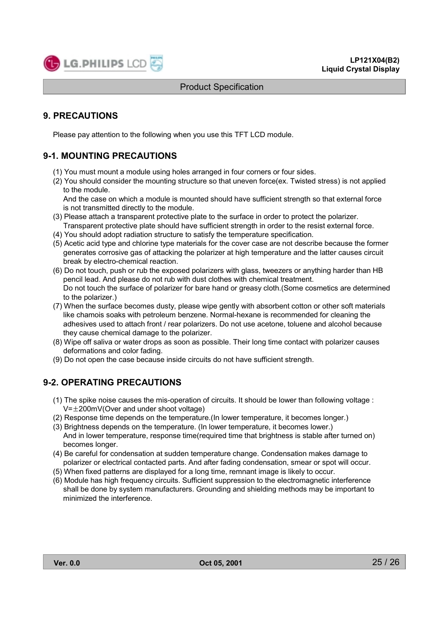

## **9. PRECAUTIONS**

Please pay attention to the following when you use this TFT LCD module.

## **9-1. MOUNTING PRECAUTIONS**

- (1) You must mount a module using holes arranged in four corners or four sides.
- (2) You should consider the mounting structure so that uneven force(ex. Twisted stress) is not applied to the module.

And the case on which a module is mounted should have sufficient strength so that external force is not transmitted directly to the module.

- (3) Please attach a transparent protective plate to the surface in order to protect the polarizer. Transparent protective plate should have sufficient strength in order to the resist external force.
- (4) You should adopt radiation structure to satisfy the temperature specification.
- (5) Acetic acid type and chlorine type materials for the cover case are not describe because the former generates corrosive gas of attacking the polarizer at high temperature and the latter causes circuit break by electro-chemical reaction.
- (6) Do not touch, push or rub the exposed polarizers with glass, tweezers or anything harder than HB pencil lead. And please do not rub with dust clothes with chemical treatment. Do not touch the surface of polarizer for bare hand or greasy cloth.(Some cosmetics are determined to the polarizer.)
- (7) When the surface becomes dusty, please wipe gently with absorbent cotton or other soft materials like chamois soaks with petroleum benzene. Normal-hexane is recommended for cleaning the adhesives used to attach front / rear polarizers. Do not use acetone, toluene and alcohol because they cause chemical damage to the polarizer.
- (8) Wipe off saliva or water drops as soon as possible. Their long time contact with polarizer causes deformations and color fading.
- (9) Do not open the case because inside circuits do not have sufficient strength.

## **9-2. OPERATING PRECAUTIONS**

- (1) The spike noise causes the mis-operation of circuits. It should be lower than following voltage :  $V = \pm 200$ mV(Over and under shoot voltage)
- (2) Response time depends on the temperature. (In lower temperature, it becomes longer.)
- (3) Brightness depends on the temperature. (In lower temperature, it becomes lower.) And in lower temperature, response time(required time that brightness is stable after turned on) becomes longer.
- (4) Be careful for condensation at sudden temperature change. Condensation makes damage to polarizer or electrical contacted parts. And after fading condensation, smear or spot will occur.
- (5) When fixed patterns are displayed for a long time, remnant image is likely to occur.
- (6) Module has high frequency circuits. Sufficient suppression to the electromagnetic interference shall be done by system manufacturers. Grounding and shielding methods may be important to minimized the interference